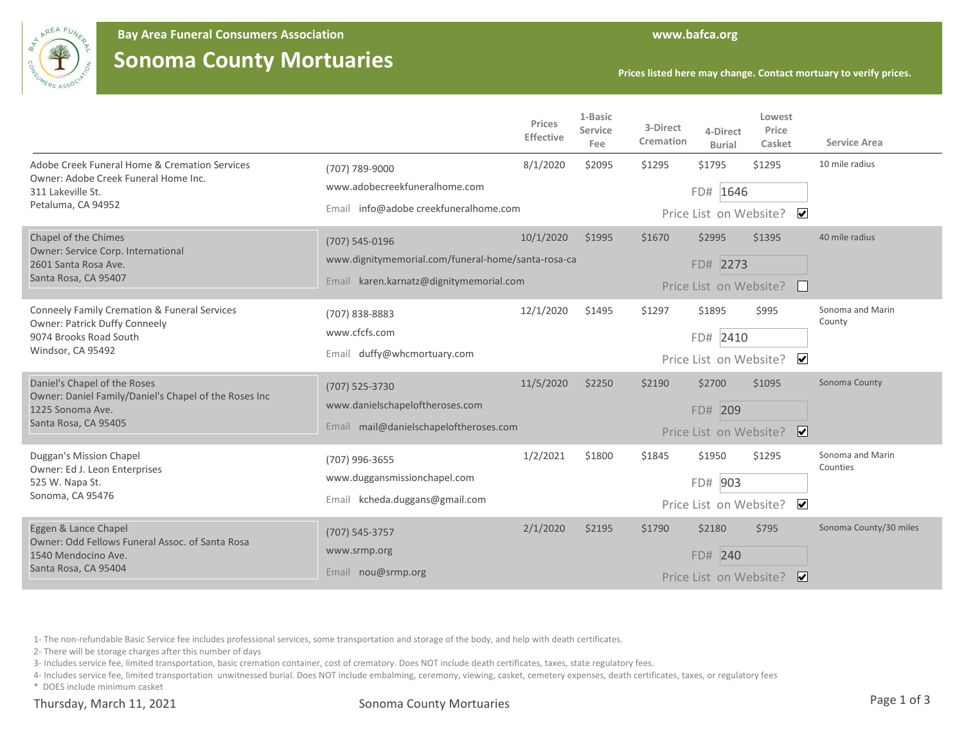

## **Sonoma County Mortuaries**

|                                                                                                                                         |                                                                                                                     | Prices<br><b>Effective</b> | 1-Basic<br>Service<br>Fee | 3-Direct<br>Cremation | 4-Direct<br><b>Burial</b>                    | Lowest<br>Price<br>Casket         | <b>Service Area</b>          |
|-----------------------------------------------------------------------------------------------------------------------------------------|---------------------------------------------------------------------------------------------------------------------|----------------------------|---------------------------|-----------------------|----------------------------------------------|-----------------------------------|------------------------------|
| Adobe Creek Funeral Home & Cremation Services<br>Owner: Adobe Creek Funeral Home Inc.<br>311 Lakeville St.<br>Petaluma, CA 94952        | (707) 789-9000<br>www.adobecreekfuneralhome.com<br>Email info@adobe creekfuneralhome.com                            | 8/1/2020                   | \$2095                    | \$1295                | \$1795<br>FD# 1646<br>Price List on Website? | \$1295<br>$\blacktriangledown$    | 10 mile radius               |
| Chapel of the Chimes<br>Owner: Service Corp. International<br>2601 Santa Rosa Ave.<br>Santa Rosa, CA 95407                              | $(707) 545 - 0196$<br>www.dignitymemorial.com/funeral-home/santa-rosa-ca<br>Email karen.karnatz@dignitymemorial.com | 10/1/2020                  | \$1995                    | \$1670                | \$2995<br>FD# 2273<br>Price List on Website? | \$1395                            | 40 mile radius               |
| <b>Conneely Family Cremation &amp; Funeral Services</b><br>Owner: Patrick Duffy Conneely<br>9074 Brooks Road South<br>Windsor, CA 95492 | (707) 838-8883<br>www.cfcfs.com<br>duffy@whcmortuary.com<br>Email                                                   | 12/1/2020                  | \$1495                    | \$1297                | \$1895<br>FD# 2410<br>Price List on Website? | \$995<br>$\blacktriangledown$     | Sonoma and Marin<br>County   |
| Daniel's Chapel of the Roses<br>Owner: Daniel Family/Daniel's Chapel of the Roses Inc<br>1225 Sonoma Ave.<br>Santa Rosa, CA 95405       | (707) 525-3730<br>www.danielschapeloftheroses.com<br>Email mail@danielschapeloftheroses.com                         | 11/5/2020                  | \$2250                    | \$2190                | \$2700<br>FD# 209<br>Price List on Website?  | \$1095<br>$\overline{\mathbf{v}}$ | Sonoma County                |
| Duggan's Mission Chapel<br>Owner: Ed J. Leon Enterprises<br>525 W. Napa St.<br>Sonoma, CA 95476                                         | (707) 996-3655<br>www.duggansmissionchapel.com<br>Email kcheda.duggans@gmail.com                                    | 1/2/2021                   | \$1800                    | \$1845                | \$1950<br>FD# 903<br>Price List on Website?  | \$1295<br>$\blacktriangledown$    | Sonoma and Marin<br>Counties |
| Eggen & Lance Chapel<br>Owner: Odd Fellows Funeral Assoc, of Santa Rosa<br>1540 Mendocino Ave.<br>Santa Rosa, CA 95404                  | (707) 545-3757<br>www.srmp.org<br>Email nou@srmp.org                                                                | 2/1/2020                   | \$2195                    | \$1790                | \$2180<br>FD# 240<br>Price List on Website?  | \$795<br>∣✔∣                      | Sonoma County/30 miles       |

1- The non-refundable Basic Service fee includes professional services, some transportation and storage of the body, and help with death certificates.

2- There will be storage charges after this number of days

3- Includes service fee, limited transportation, basic cremation container, cost of crematory. Does NOT include death certificates, taxes, state regulatory fees.

4- Includes service fee, limited transportation unwitnessed burial. Does NOT include embalming, ceremony, viewing, casket, cemetery expenses, death certificates, taxes, or regulatory fees

\* DOES include minimum casket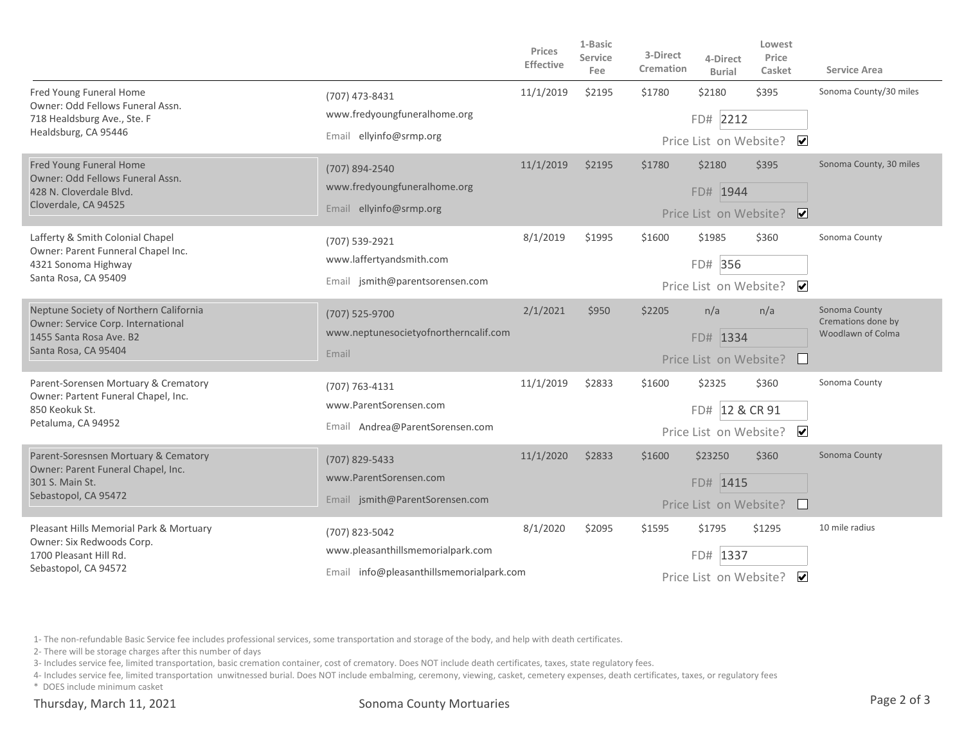|                                                                                                                                 |                                                                             | Prices<br><b>Effective</b> | 1-Basic<br><b>Service</b><br>Fee | 3-Direct<br>Cremation | 4-Direct<br><b>Burial</b>                              | Lowest<br>Price<br>Casket | <b>Service Area</b>                                      |
|---------------------------------------------------------------------------------------------------------------------------------|-----------------------------------------------------------------------------|----------------------------|----------------------------------|-----------------------|--------------------------------------------------------|---------------------------|----------------------------------------------------------|
| Fred Young Funeral Home<br>Owner: Odd Fellows Funeral Assn.<br>718 Healdsburg Ave., Ste. F<br>Healdsburg, CA 95446              | (707) 473-8431<br>www.fredyoungfuneralhome.org<br>Email ellyinfo@srmp.org   | 11/1/2019                  | \$2195                           | \$1780                | \$2180                                                 | \$395                     | Sonoma County/30 miles                                   |
|                                                                                                                                 |                                                                             |                            |                                  |                       | FD# 2212                                               |                           |                                                          |
|                                                                                                                                 |                                                                             |                            |                                  |                       | Price List on Website?                                 | $\overline{\mathbf{v}}$   |                                                          |
| Fred Young Funeral Home                                                                                                         | (707) 894-2540                                                              | 11/1/2019                  | \$2195                           | \$1780                | \$2180                                                 | \$395                     | Sonoma County, 30 miles                                  |
| Owner: Odd Fellows Funeral Assn.<br>428 N. Cloverdale Blvd.                                                                     | www.fredyoungfuneralhome.org                                                |                            |                                  |                       | FD# 1944                                               |                           |                                                          |
| Cloverdale, CA 94525                                                                                                            | Email ellyinfo@srmp.org                                                     |                            |                                  |                       | $\boxed{\blacktriangledown}$<br>Price List on Website? |                           |                                                          |
| Lafferty & Smith Colonial Chapel<br>Owner: Parent Funneral Chapel Inc.<br>4321 Sonoma Highway<br>Santa Rosa, CA 95409           | (707) 539-2921<br>www.laffertyandsmith.com                                  | 8/1/2019                   | \$1995                           | \$1600                | \$1985                                                 | \$360                     | Sonoma County                                            |
|                                                                                                                                 |                                                                             |                            |                                  |                       | FD# 356                                                |                           |                                                          |
|                                                                                                                                 | Email jsmith@parentsorensen.com                                             |                            |                                  |                       |                                                        | Price List on Website? ✔  |                                                          |
| Neptune Society of Northern California<br>Owner: Service Corp. International<br>1455 Santa Rosa Ave. B2<br>Santa Rosa, CA 95404 | (707) 525-9700<br>www.neptunesocietyofnortherncalif.com<br>Email            | 2/1/2021                   | \$950                            | \$2205                | n/a                                                    | n/a                       | Sonoma County<br>Cremations done by<br>Woodlawn of Colma |
|                                                                                                                                 |                                                                             |                            |                                  |                       | FD# 1334                                               |                           |                                                          |
|                                                                                                                                 |                                                                             |                            |                                  |                       | Price List on Website?                                 |                           |                                                          |
| Parent-Sorensen Mortuary & Crematory<br>Owner: Partent Funeral Chapel, Inc.<br>850 Keokuk St.<br>Petaluma, CA 94952             | (707) 763-4131<br>www.ParentSorensen.com<br>Email Andrea@ParentSorensen.com | 11/1/2019                  | \$2833                           | \$1600                | \$2325                                                 | \$360                     | Sonoma County                                            |
|                                                                                                                                 |                                                                             |                            |                                  |                       | FD# 12 & CR 91                                         |                           |                                                          |
|                                                                                                                                 |                                                                             |                            |                                  |                       | Price List on Website?                                 | $\blacktriangledown$      |                                                          |
| Parent-Soresnsen Mortuary & Cematory<br>Owner: Parent Funeral Chapel, Inc.<br>301 S. Main St.<br>Sebastopol, CA 95472           | (707) 829-5433<br>www.ParentSorensen.com<br>Email jsmith@ParentSorensen.com | 11/1/2020                  | \$2833                           | \$1600                | \$23250                                                | \$360                     | Sonoma County                                            |
|                                                                                                                                 |                                                                             |                            |                                  |                       | FD# 1415                                               |                           |                                                          |
|                                                                                                                                 |                                                                             |                            |                                  |                       | Price List on Website?                                 |                           |                                                          |
| Pleasant Hills Memorial Park & Mortuary<br>Owner: Six Redwoods Corp.<br>1700 Pleasant Hill Rd.<br>Sebastopol, CA 94572          | (707) 823-5042<br>www.pleasanthillsmemorialpark.com                         | 8/1/2020                   | \$2095                           | \$1595                | \$1795                                                 | \$1295                    | 10 mile radius                                           |
|                                                                                                                                 |                                                                             |                            |                                  |                       | FD# 1337                                               |                           |                                                          |
|                                                                                                                                 | Email info@pleasanthillsmemorialpark.com                                    |                            |                                  |                       | $\blacktriangledown$<br>Price List on Website?         |                           |                                                          |

1- The non-refundable Basic Service fee includes professional services, some transportation and storage of the body, and help with death certificates.

2- There will be storage charges after this number of days

3- Includes service fee, limited transportation, basic cremation container, cost of crematory. Does NOT include death certificates, taxes, state regulatory fees.

4- Includes service fee, limited transportation unwitnessed burial. Does NOT include embalming, ceremony, viewing, casket, cemetery expenses, death certificates, taxes, or regulatory fees

\* DOES include minimum casket